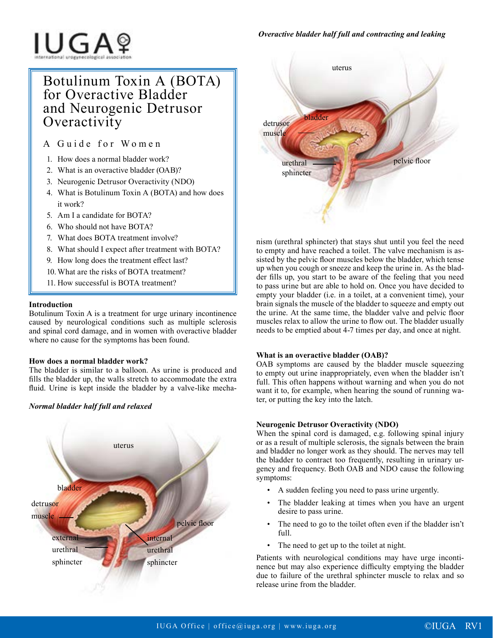**IUGA**?

# Botulinum Toxin A (BOTA) for Overactive Bladder and Neurogenic Detrusor **Overactivity**

A Guide for Women

- 1. How does a normal bladder work?
- 2. What is an overactive bladder (OAB)?
- 3. Neurogenic Detrusor Overactivity (NDO)
- 4. What is Botulinum Toxin A (BOTA) and how does it work?
- 5. Am I a candidate for BOTA?
- 6. Who should not have BOTA?
- 7. What does BOTA treatment involve?
- 8. What should I expect after treatment with BOTA?
- 9. How long does the treatment effect last?
- 10. What are the risks of BOTA treatment?
- 11. How successful is BOTA treatment?

# **Introduction**

Botulinum Toxin A is a treatment for urge urinary incontinence caused by neurological conditions such as multiple sclerosis and spinal cord damage, and in women with overactive bladder where no cause for the symptoms has been found.

# **How does a normal bladder work?**

The bladder is similar to a balloon. As urine is produced and fills the bladder up, the walls stretch to accommodate the extra fluid. Urine is kept inside the bladder by a valve-like mecha-

# *Normal bladder half full and relaxed*





nism (urethral sphincter) that stays shut until you feel the need to empty and have reached a toilet. The valve mechanism is assisted by the pelvic floor muscles below the bladder, which tense up when you cough or sneeze and keep the urine in. As the bladder fills up, you start to be aware of the feeling that you need to pass urine but are able to hold on. Once you have decided to empty your bladder (i.e. in a toilet, at a convenient time), your brain signals the muscle of the bladder to squeeze and empty out the urine. At the same time, the bladder valve and pelvic floor muscles relax to allow the urine to flow out. The bladder usually needs to be emptied about 4-7 times per day, and once at night.

# **What is an overactive bladder (OAB)?**

OAB symptoms are caused by the bladder muscle squeezing to empty out urine inappropriately, even when the bladder isn't full. This often happens without warning and when you do not want it to, for example, when hearing the sound of running water, or putting the key into the latch.

# **Neurogenic Detrusor Overactivity (NDO)**

When the spinal cord is damaged, e.g. following spinal injury or as a result of multiple sclerosis, the signals between the brain and bladder no longer work as they should. The nerves may tell the bladder to contract too frequently, resulting in urinary urgency and frequency. Both OAB and NDO cause the following symptoms:

- A sudden feeling you need to pass urine urgently.
- The bladder leaking at times when you have an urgent desire to pass urine.
- The need to go to the toilet often even if the bladder isn't full.
- The need to get up to the toilet at night.

Patients with neurological conditions may have urge incontinence but may also experience difficulty emptying the bladder due to failure of the urethral sphincter muscle to relax and so release urine from the bladder.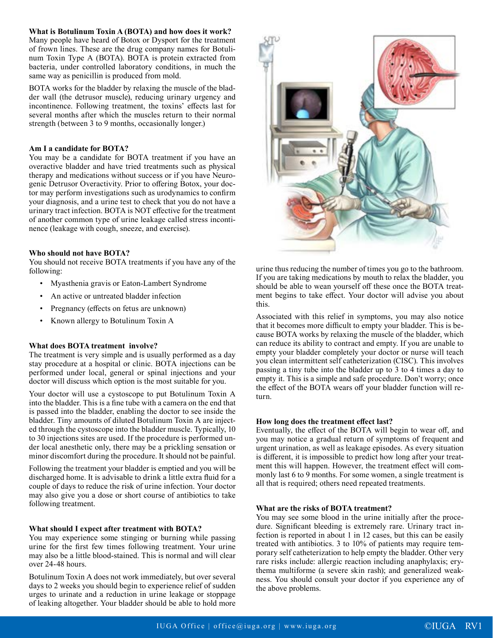### **What is Botulinum Toxin A (BOTA) and how does it work?**

Many people have heard of Botox or Dysport for the treatment of frown lines. These are the drug company names for Botulinum Toxin Type A (BOTA). BOTA is protein extracted from bacteria, under controlled laboratory conditions, in much the same way as penicillin is produced from mold.

BOTA works for the bladder by relaxing the muscle of the bladder wall (the detrusor muscle), reducing urinary urgency and incontinence. Following treatment, the toxins' effects last for several months after which the muscles return to their normal strength (between 3 to 9 months, occasionally longer.)

#### **Am I a candidate for BOTA?**

You may be a candidate for BOTA treatment if you have an overactive bladder and have tried treatments such as physical therapy and medications without success or if you have Neurogenic Detrusor Overactivity. Prior to offering Botox, your doctor may perform investigations such as urodynamics to confirm your diagnosis, and a urine test to check that you do not have a urinary tract infection. BOTA is NOT effective for the treatment of another common type of urine leakage called stress incontinence (leakage with cough, sneeze, and exercise).

#### **Who should not have BOTA?**

You should not receive BOTA treatments if you have any of the following:

- Myasthenia gravis or Eaton-Lambert Syndrome
- An active or untreated bladder infection
- Pregnancy (effects on fetus are unknown)
- Known allergy to Botulinum Toxin A

#### **What does BOTA treatment involve?**

The treatment is very simple and is usually performed as a day stay procedure at a hospital or clinic. BOTA injections can be performed under local, general or spinal injections and your doctor will discuss which option is the most suitable for you.

Your doctor will use a cystoscope to put Botulinum Toxin A into the bladder. This is a fine tube with a camera on the end that is passed into the bladder, enabling the doctor to see inside the bladder. Tiny amounts of diluted Botulinum Toxin A are injected through the cystoscope into the bladder muscle. Typically, 10 to 30 injections sites are used. If the procedure is performed under local anesthetic only, there may be a prickling sensation or minor discomfort during the procedure. It should not be painful.

Following the treatment your bladder is emptied and you will be discharged home. It is advisable to drink a little extra fluid for a couple of days to reduce the risk of urine infection. Your doctor may also give you a dose or short course of antibiotics to take following treatment.

#### **What should I expect after treatment with BOTA?**

You may experience some stinging or burning while passing urine for the first few times following treatment. Your urine may also be a little blood-stained. This is normal and will clear over 24-48 hours.

Botulinum Toxin A does not work immediately, but over several days to 2 weeks you should begin to experience relief of sudden urges to urinate and a reduction in urine leakage or stoppage of leaking altogether. Your bladder should be able to hold more



urine thus reducing the number of times you go to the bathroom. If you are taking medications by mouth to relax the bladder, you should be able to wean yourself off these once the BOTA treatment begins to take effect. Your doctor will advise you about this.

Associated with this relief in symptoms, you may also notice that it becomes more difficult to empty your bladder. This is because BOTA works by relaxing the muscle of the bladder, which can reduce its ability to contract and empty. If you are unable to empty your bladder completely your doctor or nurse will teach you clean intermittent self catheterization (CISC). This involves passing a tiny tube into the bladder up to 3 to 4 times a day to empty it. This is a simple and safe procedure. Don't worry; once the effect of the BOTA wears off your bladder function will return.

#### **How long does the treatment effect last?**

Eventually, the effect of the BOTA will begin to wear off, and you may notice a gradual return of symptoms of frequent and urgent urination, as well as leakage episodes. As every situation is different, it is impossible to predict how long after your treatment this will happen. However, the treatment effect will commonly last 6 to 9 months. For some women, a single treatment is all that is required; others need repeated treatments.

#### **What are the risks of BOTA treatment?**

You may see some blood in the urine initially after the procedure. Significant bleeding is extremely rare. Urinary tract infection is reported in about 1 in 12 cases, but this can be easily treated with antibiotics. 3 to 10% of patients may require temporary self catheterization to help empty the bladder. Other very rare risks include: allergic reaction including anaphylaxis; erythema multiforme (a severe skin rash); and generalized weakness. You should consult your doctor if you experience any of the above problems.